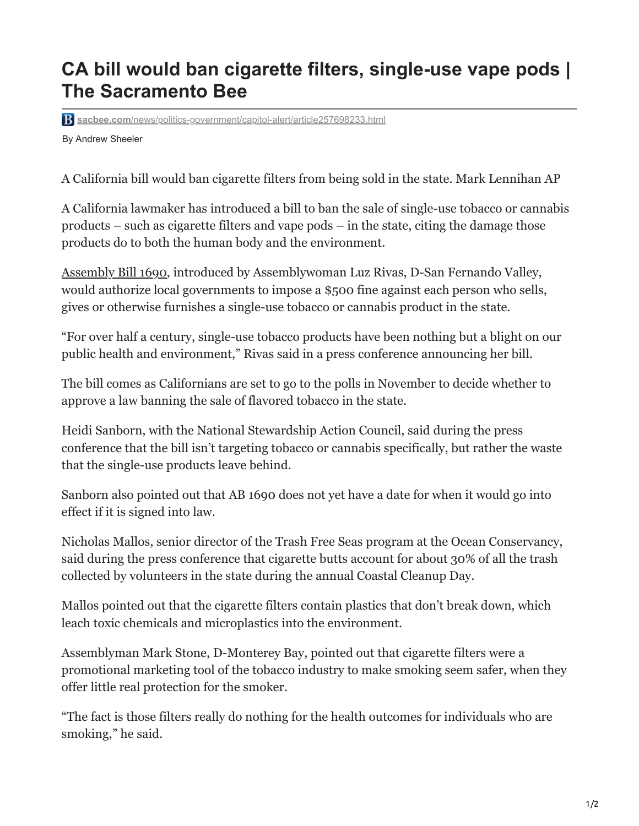## **CA bill would ban cigarette filters, single-use vape pods | The Sacramento Bee**

**sacbee.com**[/news/politics-government/capitol-alert/article257698233.html](https://www.sacbee.com/news/politics-government/capitol-alert/article257698233.html)

By Andrew Sheeler

A California bill would ban cigarette filters from being sold in the state. Mark Lennihan AP

A California lawmaker has introduced a bill to ban the sale of single-use tobacco or cannabis products – such as cigarette filters and vape pods – in the state, citing the damage those products do to both the human body and the environment.

[Assembly Bill 1690,](https://leginfo.legislature.ca.gov/faces/billNavClient.xhtml?bill_id=202120220AB1690) introduced by Assemblywoman Luz Rivas, D-San Fernando Valley, would authorize local governments to impose a \$500 fine against each person who sells, gives or otherwise furnishes a single-use tobacco or cannabis product in the state.

"For over half a century, single-use tobacco products have been nothing but a blight on our public health and environment," Rivas said in a press conference announcing her bill.

The bill comes as Californians are set to go to the polls in November to decide whether to approve a law banning the sale of flavored tobacco in the state.

Heidi Sanborn, with the National Stewardship Action Council, said during the press conference that the bill isn't targeting tobacco or cannabis specifically, but rather the waste that the single-use products leave behind.

Sanborn also pointed out that AB 1690 does not yet have a date for when it would go into effect if it is signed into law.

Nicholas Mallos, senior director of the Trash Free Seas program at the Ocean Conservancy, said during the press conference that cigarette butts account for about 30% of all the trash collected by volunteers in the state during the annual Coastal Cleanup Day.

Mallos pointed out that the cigarette filters contain plastics that don't break down, which leach toxic chemicals and microplastics into the environment.

Assemblyman Mark Stone, D-Monterey Bay, pointed out that cigarette filters were a promotional marketing tool of the tobacco industry to make smoking seem safer, when they offer little real protection for the smoker.

"The fact is those filters really do nothing for the health outcomes for individuals who are smoking," he said.